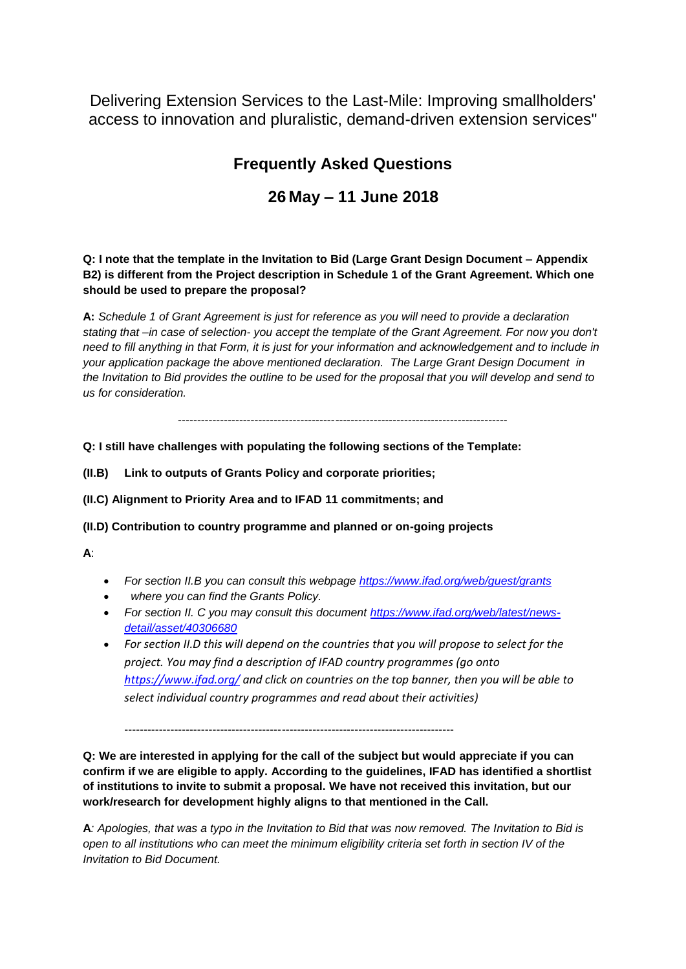Delivering Extension Services to the Last-Mile: Improving smallholders' access to innovation and pluralistic, demand-driven extension services"

## **Frequently Asked Questions**

## **26 May – 11 June 2018**

**Q: I note that the template in the Invitation to Bid (Large Grant Design Document – Appendix B2) is different from the Project description in Schedule 1 of the Grant Agreement. Which one should be used to prepare the proposal?**

**A:** *Schedule 1 of Grant Agreement is just for reference as you will need to provide a declaration stating that –in case of selection- you accept the template of the Grant Agreement. For now you don't need to fill anything in that Form, it is just for your information and acknowledgement and to include in your application package the above mentioned declaration. The Large Grant Design Document in the Invitation to Bid provides the outline to be used for the proposal that you will develop and send to us for consideration.*

--------------------------------------------------------------------------------------

**Q: I still have challenges with populating the following sections of the Template:**

**(II.B) Link to outputs of Grants Policy and corporate priorities;**

**(II.C) Alignment to Priority Area and to IFAD 11 commitments; and**

**(II.D) Contribution to country programme and planned or on-going projects**

**A**:

- *For section II.B you can consult this webpage<https://www.ifad.org/web/guest/grants>*
- *where you can find the Grants Policy.*
- *For section II. C you may consult this document [https://www.ifad.org/web/latest/news](https://www.ifad.org/web/latest/news-detail/asset/40306680)[detail/asset/40306680](https://www.ifad.org/web/latest/news-detail/asset/40306680)*
- *For section II.D this will depend on the countries that you will propose to select for the project. You may find a description of IFAD country programmes (go onto <https://www.ifad.org/> and click on countries on the top banner, then you will be able to select individual country programmes and read about their activities)*

--------------------------------------------------------------------------------------

**Q: We are interested in applying for the call of the subject but would appreciate if you can confirm if we are eligible to apply. According to the guidelines, IFAD has identified a shortlist of institutions to invite to submit a proposal. We have not received this invitation, but our work/research for development highly aligns to that mentioned in the Call.**

**A***: Apologies, that was a typo in the Invitation to Bid that was now removed. The Invitation to Bid is open to all institutions who can meet the minimum eligibility criteria set forth in section IV of the Invitation to Bid Document.*